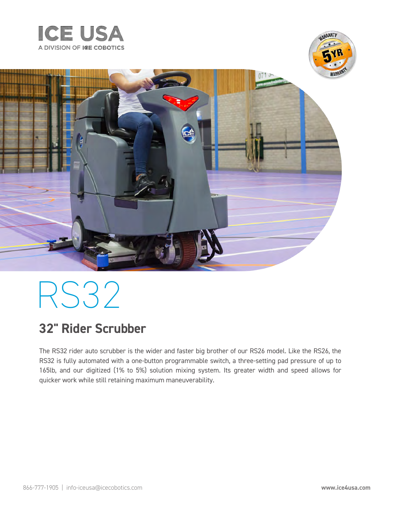





# RS32

## **32" Rider Scrubber**

The RS32 rider auto scrubber is the wider and faster big brother of our RS26 model. Like the RS26, the RS32 is fully automated with a one-button programmable switch, a three-setting pad pressure of up to 165lb, and our digitized (1% to 5%) solution mixing system. Its greater width and speed allows for quicker work while still retaining maximum maneuverability.